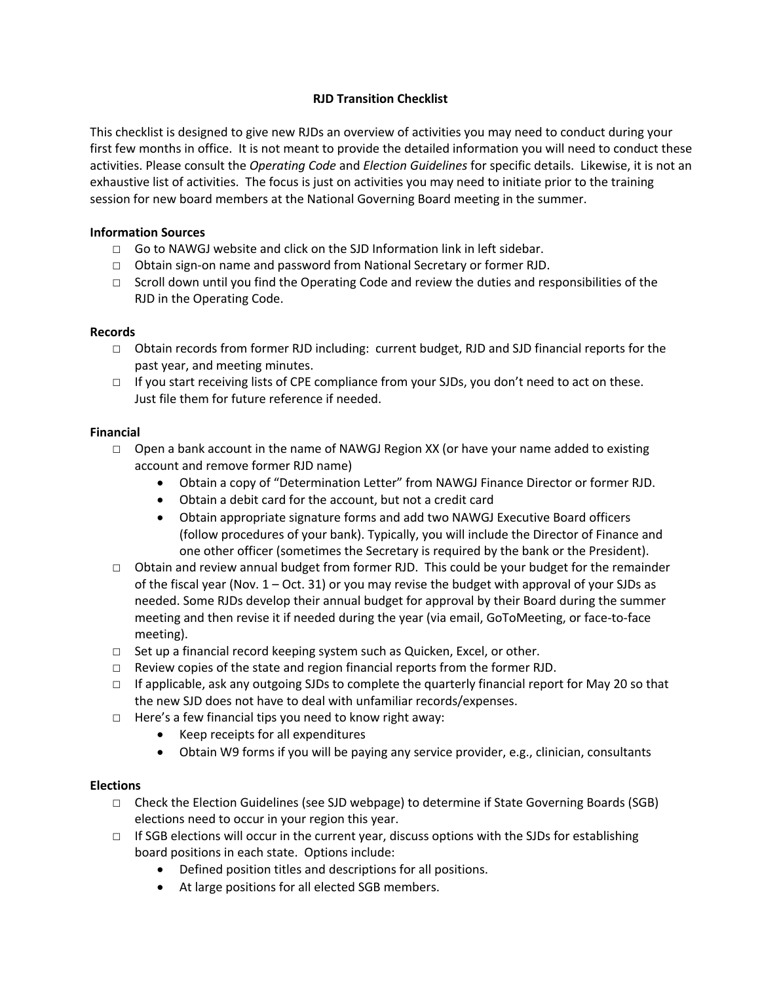# **RJD Transition Checklist**

This checklist is designed to give new RJDs an overview of activities you may need to conduct during your first few months in office. It is not meant to provide the detailed information you will need to conduct these activities. Please consult the *Operating Code* and *Election Guidelines* for specific details. Likewise, it is not an exhaustive list of activities. The focus is just on activities you may need to initiate prior to the training session for new board members at the National Governing Board meeting in the summer.

### **Information Sources**

- □ Go to NAWGJ website and click on the SJD Information link in left sidebar.
- ☐ Obtain sign-on name and password from National Secretary or former RJD.
- □ Scroll down until you find the Operating Code and review the duties and responsibilities of the RJD in the Operating Code.

#### **Records**

- ☐ Obtain records from former RJD including: current budget, RJD and SJD financial reports for the past year, and meeting minutes.
- □ If you start receiving lists of CPE compliance from your SJDs, you don't need to act on these. Just file them for future reference if needed.

#### **Financial**

- □ Open a bank account in the name of NAWGJ Region XX (or have your name added to existing account and remove former RJD name)
	- Obtain a copy of "Determination Letter" from NAWGJ Finance Director or former RJD.
	- Obtain a debit card for the account, but not a credit card
	- Obtain appropriate signature forms and add two NAWGJ Executive Board officers (follow procedures of your bank). Typically, you will include the Director of Finance and one other officer (sometimes the Secretary is required by the bank or the President).
- ☐ Obtain and review annual budget from former RJD. This could be your budget for the remainder of the fiscal year (Nov. 1 – Oct. 31) or you may revise the budget with approval of your SJDs as needed. Some RJDs develop their annual budget for approval by their Board during the summer meeting and then revise it if needed during the year (via email, GoToMeeting, or face-to-face meeting).
- ☐ Set up a financial record keeping system such as Quicken, Excel, or other.
- ☐ Review copies of the state and region financial reports from the former RJD.
- ☐ If applicable, ask any outgoing SJDs to complete the quarterly financial report for May 20 so that the new SJD does not have to deal with unfamiliar records/expenses.
- ☐ Here's a few financial tips you need to know right away:
	- Keep receipts for all expenditures
	- Obtain W9 forms if you will be paying any service provider, e.g., clinician, consultants

### **Elections**

- ☐ Check the Election Guidelines (see SJD webpage) to determine if State Governing Boards (SGB) elections need to occur in your region this year.
- □ If SGB elections will occur in the current year, discuss options with the SJDs for establishing board positions in each state. Options include:
	- Defined position titles and descriptions for all positions.
	- At large positions for all elected SGB members.